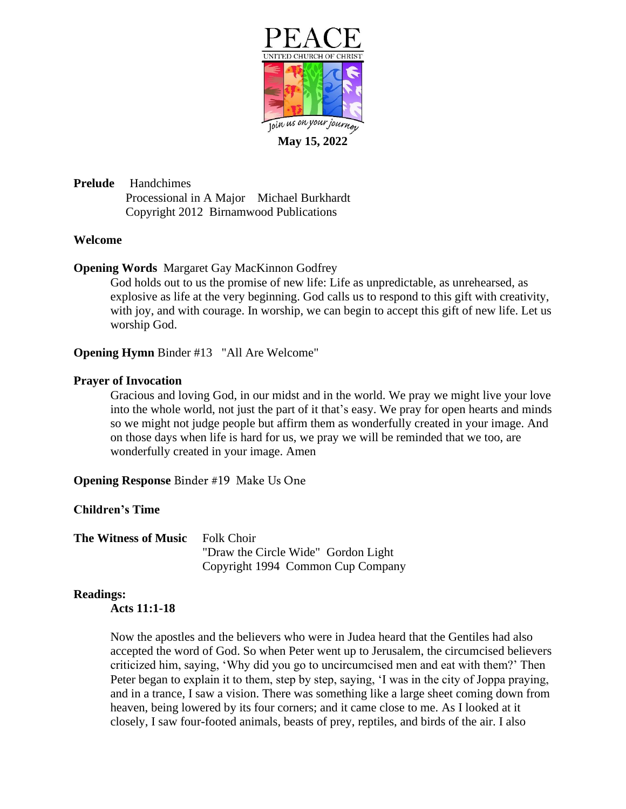

**May 15, 2022**

**Prelude** Handchimes Processional in A Major Michael Burkhardt Copyright 2012 Birnamwood Publications

# **Welcome**

**Opening Words** Margaret Gay MacKinnon Godfrey

God holds out to us the promise of new life: Life as unpredictable, as unrehearsed, as explosive as life at the very beginning. God calls us to respond to this gift with creativity, with joy, and with courage. In worship, we can begin to accept this gift of new life. Let us worship God.

**Opening Hymn** Binder #13 "All Are Welcome"

## **Prayer of Invocation**

Gracious and loving God, in our midst and in the world. We pray we might live your love into the whole world, not just the part of it that's easy. We pray for open hearts and minds so we might not judge people but affirm them as wonderfully created in your image. And on those days when life is hard for us, we pray we will be reminded that we too, are wonderfully created in your image. Amen

**Opening Response** Binder #19 Make Us One

# **Children's Time**

**The Witness of Music** Folk Choir "Draw the Circle Wide" Gordon Light Copyright 1994 Common Cup Company

#### **Readings:**

**Acts 11:1-18**

Now the apostles and the believers who were in Judea heard that the Gentiles had also accepted the word of God. So when Peter went up to Jerusalem, the circumcised believers criticized him, saying, 'Why did you go to uncircumcised men and eat with them?' Then Peter began to explain it to them, step by step, saying, 'I was in the city of Joppa praying, and in a trance, I saw a vision. There was something like a large sheet coming down from heaven, being lowered by its four corners; and it came close to me. As I looked at it closely, I saw four-footed animals, beasts of prey, reptiles, and birds of the air. I also